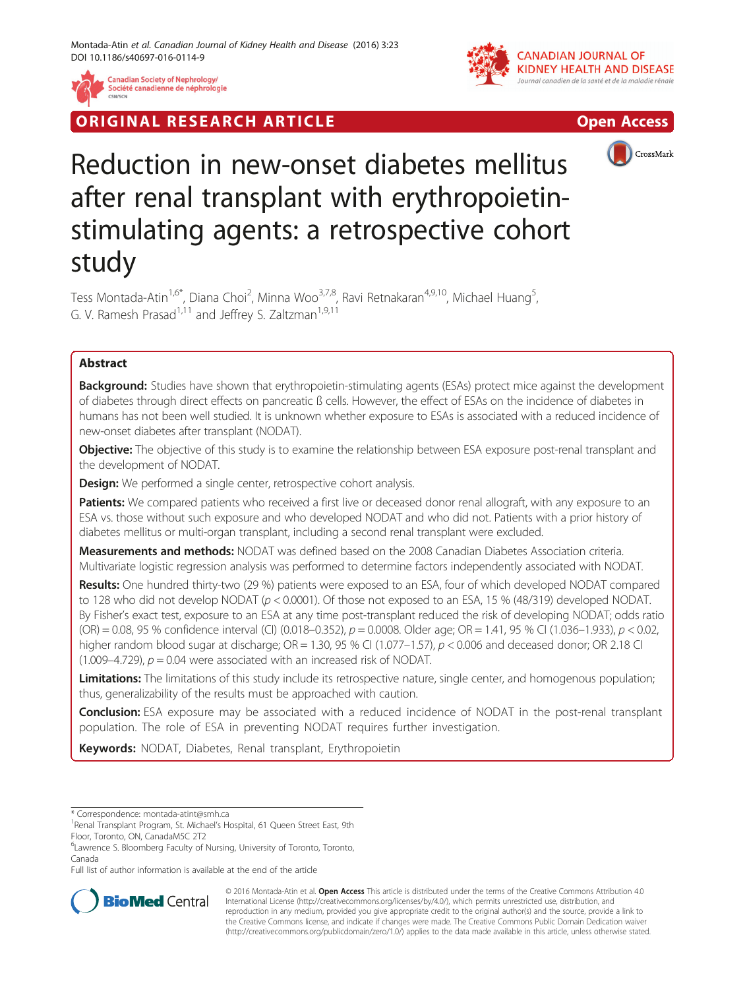

RIGINAL RESEARCH ARTICLE AND CONTROLLER IN THE OPEN ACCESS





# Reduction in new-onset diabetes mellitus after renal transplant with erythropoietinstimulating agents: a retrospective cohort study

Tess Montada-Atin<sup>1,6\*</sup>, Diana Choi<sup>2</sup>, Minna Woo<sup>3,7,8</sup>, Ravi Retnakaran<sup>4,9,10</sup>, Michael Huang<sup>5</sup> , G. V. Ramesh Prasad<sup>1,11</sup> and Jeffrey S. Zaltzman<sup>1,9,11</sup>

# Abstract

Background: Studies have shown that erythropoietin-stimulating agents (ESAs) protect mice against the development of diabetes through direct effects on pancreatic ß cells. However, the effect of ESAs on the incidence of diabetes in humans has not been well studied. It is unknown whether exposure to ESAs is associated with a reduced incidence of new-onset diabetes after transplant (NODAT).

Objective: The objective of this study is to examine the relationship between ESA exposure post-renal transplant and the development of NODAT.

**Design:** We performed a single center, retrospective cohort analysis.

Patients: We compared patients who received a first live or deceased donor renal allograft, with any exposure to an ESA vs. those without such exposure and who developed NODAT and who did not. Patients with a prior history of diabetes mellitus or multi-organ transplant, including a second renal transplant were excluded.

Measurements and methods: NODAT was defined based on the 2008 Canadian Diabetes Association criteria. Multivariate logistic regression analysis was performed to determine factors independently associated with NODAT.

Results: One hundred thirty-two (29 %) patients were exposed to an ESA, four of which developed NODAT compared to 128 who did not develop NODAT (p < 0.0001). Of those not exposed to an ESA, 15 % (48/319) developed NODAT. By Fisher's exact test, exposure to an ESA at any time post-transplant reduced the risk of developing NODAT; odds ratio  $(OR) = 0.08$ , 95 % confidence interval (CI)  $(0.018 - 0.352)$ ,  $p = 0.0008$ . Older age; OR = 1.41, 95 % CI (1.036–1.933),  $p < 0.02$ , higher random blood sugar at discharge;  $OR = 1.30$ , 95 % CI (1.077–1.57),  $p < 0.006$  and deceased donor; OR 2.18 CI (1.009–4.729),  $p = 0.04$  were associated with an increased risk of NODAT.

Limitations: The limitations of this study include its retrospective nature, single center, and homogenous population; thus, generalizability of the results must be approached with caution.

**Conclusion:** ESA exposure may be associated with a reduced incidence of NODAT in the post-renal transplant population. The role of ESA in preventing NODAT requires further investigation.

Keywords: NODAT, Diabetes, Renal transplant, Erythropoietin

Full list of author information is available at the end of the article



© 2016 Montada-Atin et al. Open Access This article is distributed under the terms of the Creative Commons Attribution 4.0 International License [\(http://creativecommons.org/licenses/by/4.0/](http://creativecommons.org/licenses/by/4.0/)), which permits unrestricted use, distribution, and reproduction in any medium, provided you give appropriate credit to the original author(s) and the source, provide a link to the Creative Commons license, and indicate if changes were made. The Creative Commons Public Domain Dedication waiver [\(http://creativecommons.org/publicdomain/zero/1.0/](http://creativecommons.org/publicdomain/zero/1.0/)) applies to the data made available in this article, unless otherwise stated.

<sup>\*</sup> Correspondence: [montada-atint@smh.ca](mailto:montada-atint@smh.ca) <sup>1</sup>

<sup>&</sup>lt;sup>1</sup> Renal Transplant Program, St. Michael's Hospital, 61 Queen Street East, 9th Floor, Toronto, ON, CanadaM5C 2T2

<sup>&</sup>lt;sup>6</sup> Lawrence S. Bloomberg Faculty of Nursing, University of Toronto, Toronto, Canada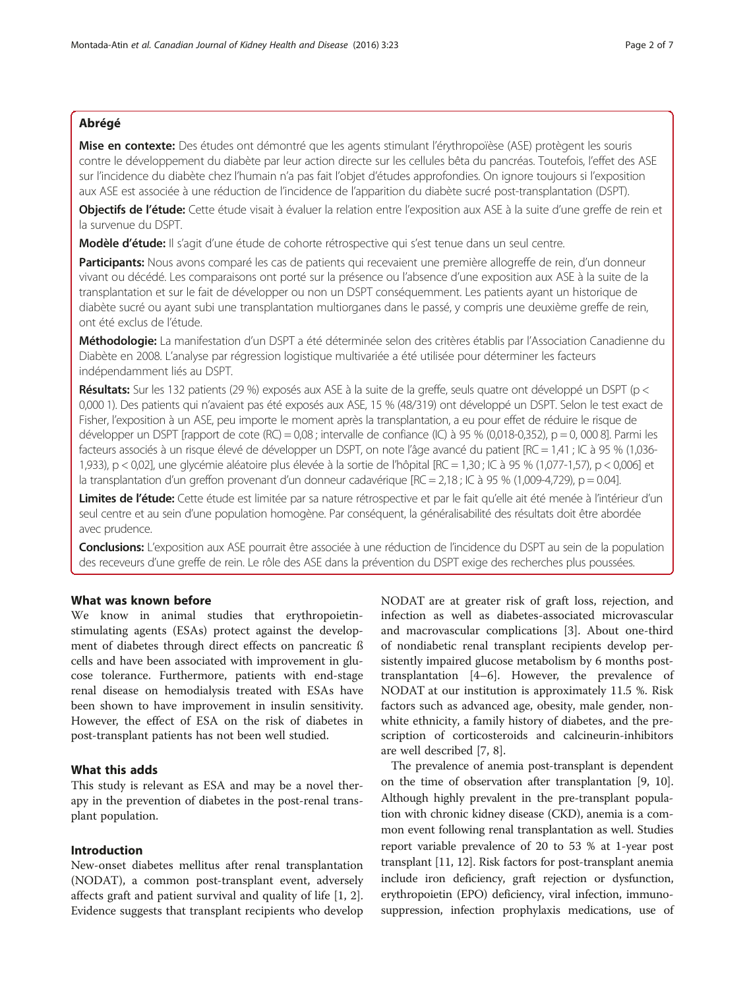## Abrégé

Mise en contexte: Des études ont démontré que les agents stimulant l'érythropoïèse (ASE) protègent les souris contre le développement du diabète par leur action directe sur les cellules bêta du pancréas. Toutefois, l'effet des ASE sur l'incidence du diabète chez l'humain n'a pas fait l'objet d'études approfondies. On ignore toujours si l'exposition aux ASE est associée à une réduction de l'incidence de l'apparition du diabète sucré post-transplantation (DSPT).

Objectifs de l'étude: Cette étude visait à évaluer la relation entre l'exposition aux ASE à la suite d'une greffe de rein et la survenue du DSPT.

Modèle d'étude: Il s'agit d'une étude de cohorte rétrospective qui s'est tenue dans un seul centre.

Participants: Nous avons comparé les cas de patients qui recevaient une première allogreffe de rein, d'un donneur vivant ou décédé. Les comparaisons ont porté sur la présence ou l'absence d'une exposition aux ASE à la suite de la transplantation et sur le fait de développer ou non un DSPT conséquemment. Les patients ayant un historique de diabète sucré ou ayant subi une transplantation multiorganes dans le passé, y compris une deuxième greffe de rein, ont été exclus de l'étude.

Méthodologie: La manifestation d'un DSPT a été déterminée selon des critères établis par l'Association Canadienne du Diabète en 2008. L'analyse par régression logistique multivariée a été utilisée pour déterminer les facteurs indépendamment liés au DSPT.

Résultats: Sur les 132 patients (29 %) exposés aux ASE à la suite de la greffe, seuls quatre ont développé un DSPT (p < 0,000 1). Des patients qui n'avaient pas été exposés aux ASE, 15 % (48/319) ont développé un DSPT. Selon le test exact de Fisher, l'exposition à un ASE, peu importe le moment après la transplantation, a eu pour effet de réduire le risque de développer un DSPT [rapport de cote (RC) = 0,08 ; intervalle de confiance (IC) à 95 % (0,018-0,352), p = 0, 000 8]. Parmi les facteurs associés à un risque élevé de développer un DSPT, on note l'âge avancé du patient [RC = 1,41 ; IC à 95 % (1,036- 1,933), p < 0,02], une glycémie aléatoire plus élevée à la sortie de l'hôpital [RC = 1,30 ; IC à 95 % (1,077-1,57), p < 0,006] et la transplantation d'un greffon provenant d'un donneur cadavérique [RC = 2,18 ; IC à 95 % (1,009-4,729), p = 0.04].

Limites de l'étude: Cette étude est limitée par sa nature rétrospective et par le fait qu'elle ait été menée à l'intérieur d'un seul centre et au sein d'une population homogène. Par conséquent, la généralisabilité des résultats doit être abordée avec prudence.

Conclusions: L'exposition aux ASE pourrait être associée à une réduction de l'incidence du DSPT au sein de la population des receveurs d'une greffe de rein. Le rôle des ASE dans la prévention du DSPT exige des recherches plus poussées.

## What was known before

We know in animal studies that erythropoietinstimulating agents (ESAs) protect against the development of diabetes through direct effects on pancreatic ß cells and have been associated with improvement in glucose tolerance. Furthermore, patients with end-stage renal disease on hemodialysis treated with ESAs have been shown to have improvement in insulin sensitivity. However, the effect of ESA on the risk of diabetes in post-transplant patients has not been well studied.

# What this adds

This study is relevant as ESA and may be a novel therapy in the prevention of diabetes in the post-renal transplant population.

## Introduction

New-onset diabetes mellitus after renal transplantation (NODAT), a common post-transplant event, adversely affects graft and patient survival and quality of life [\[1](#page-6-0), [2](#page-6-0)]. Evidence suggests that transplant recipients who develop NODAT are at greater risk of graft loss, rejection, and infection as well as diabetes-associated microvascular and macrovascular complications [[3\]](#page-6-0). About one-third of nondiabetic renal transplant recipients develop persistently impaired glucose metabolism by 6 months posttransplantation [[4](#page-6-0)–[6\]](#page-6-0). However, the prevalence of NODAT at our institution is approximately 11.5 %. Risk factors such as advanced age, obesity, male gender, nonwhite ethnicity, a family history of diabetes, and the prescription of corticosteroids and calcineurin-inhibitors are well described [\[7](#page-6-0), [8](#page-6-0)].

The prevalence of anemia post-transplant is dependent on the time of observation after transplantation [\[9](#page-6-0), [10](#page-6-0)]. Although highly prevalent in the pre-transplant population with chronic kidney disease (CKD), anemia is a common event following renal transplantation as well. Studies report variable prevalence of 20 to 53 % at 1-year post transplant [[11, 12](#page-6-0)]. Risk factors for post-transplant anemia include iron deficiency, graft rejection or dysfunction, erythropoietin (EPO) deficiency, viral infection, immunosuppression, infection prophylaxis medications, use of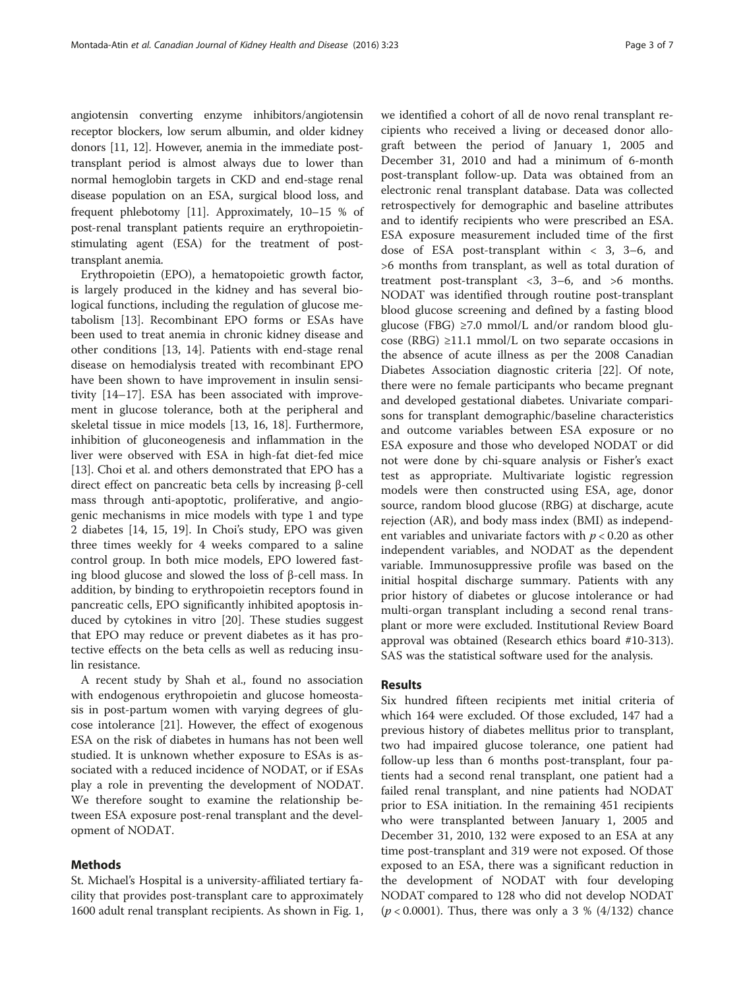angiotensin converting enzyme inhibitors/angiotensin receptor blockers, low serum albumin, and older kidney donors [\[11, 12\]](#page-6-0). However, anemia in the immediate posttransplant period is almost always due to lower than normal hemoglobin targets in CKD and end-stage renal disease population on an ESA, surgical blood loss, and frequent phlebotomy [\[11\]](#page-6-0). Approximately, 10–15 % of post-renal transplant patients require an erythropoietinstimulating agent (ESA) for the treatment of posttransplant anemia.

Erythropoietin (EPO), a hematopoietic growth factor, is largely produced in the kidney and has several biological functions, including the regulation of glucose metabolism [[13\]](#page-6-0). Recombinant EPO forms or ESAs have been used to treat anemia in chronic kidney disease and other conditions [[13](#page-6-0), [14\]](#page-6-0). Patients with end-stage renal disease on hemodialysis treated with recombinant EPO have been shown to have improvement in insulin sensitivity [[14](#page-6-0)–[17](#page-6-0)]. ESA has been associated with improvement in glucose tolerance, both at the peripheral and skeletal tissue in mice models [[13, 16](#page-6-0), [18\]](#page-6-0). Furthermore, inhibition of gluconeogenesis and inflammation in the liver were observed with ESA in high-fat diet-fed mice [[13\]](#page-6-0). Choi et al. and others demonstrated that EPO has a direct effect on pancreatic beta cells by increasing β-cell mass through anti-apoptotic, proliferative, and angiogenic mechanisms in mice models with type 1 and type 2 diabetes [[14, 15, 19\]](#page-6-0). In Choi's study, EPO was given three times weekly for 4 weeks compared to a saline control group. In both mice models, EPO lowered fasting blood glucose and slowed the loss of β-cell mass. In addition, by binding to erythropoietin receptors found in pancreatic cells, EPO significantly inhibited apoptosis induced by cytokines in vitro [\[20](#page-6-0)]. These studies suggest that EPO may reduce or prevent diabetes as it has protective effects on the beta cells as well as reducing insulin resistance.

A recent study by Shah et al., found no association with endogenous erythropoietin and glucose homeostasis in post-partum women with varying degrees of glucose intolerance [\[21\]](#page-6-0). However, the effect of exogenous ESA on the risk of diabetes in humans has not been well studied. It is unknown whether exposure to ESAs is associated with a reduced incidence of NODAT, or if ESAs play a role in preventing the development of NODAT. We therefore sought to examine the relationship between ESA exposure post-renal transplant and the development of NODAT.

## Methods

St. Michael's Hospital is a university-affiliated tertiary facility that provides post-transplant care to approximately 1600 adult renal transplant recipients. As shown in Fig. [1](#page-3-0),

we identified a cohort of all de novo renal transplant recipients who received a living or deceased donor allograft between the period of January 1, 2005 and December 31, 2010 and had a minimum of 6-month post-transplant follow-up. Data was obtained from an electronic renal transplant database. Data was collected retrospectively for demographic and baseline attributes and to identify recipients who were prescribed an ESA. ESA exposure measurement included time of the first dose of ESA post-transplant within < 3, 3–6, and >6 months from transplant, as well as total duration of treatment post-transplant <3, 3–6, and >6 months. NODAT was identified through routine post-transplant blood glucose screening and defined by a fasting blood glucose (FBG) ≥7.0 mmol/L and/or random blood glucose (RBG) ≥11.1 mmol/L on two separate occasions in the absence of acute illness as per the 2008 Canadian Diabetes Association diagnostic criteria [[22\]](#page-6-0). Of note, there were no female participants who became pregnant and developed gestational diabetes. Univariate comparisons for transplant demographic/baseline characteristics and outcome variables between ESA exposure or no ESA exposure and those who developed NODAT or did not were done by chi-square analysis or Fisher's exact test as appropriate. Multivariate logistic regression models were then constructed using ESA, age, donor source, random blood glucose (RBG) at discharge, acute rejection (AR), and body mass index (BMI) as independent variables and univariate factors with  $p < 0.20$  as other independent variables, and NODAT as the dependent variable. Immunosuppressive profile was based on the initial hospital discharge summary. Patients with any prior history of diabetes or glucose intolerance or had multi-organ transplant including a second renal transplant or more were excluded. Institutional Review Board approval was obtained (Research ethics board #10-313). SAS was the statistical software used for the analysis.

### Results

Six hundred fifteen recipients met initial criteria of which 164 were excluded. Of those excluded, 147 had a previous history of diabetes mellitus prior to transplant, two had impaired glucose tolerance, one patient had follow-up less than 6 months post-transplant, four patients had a second renal transplant, one patient had a failed renal transplant, and nine patients had NODAT prior to ESA initiation. In the remaining 451 recipients who were transplanted between January 1, 2005 and December 31, 2010, 132 were exposed to an ESA at any time post-transplant and 319 were not exposed. Of those exposed to an ESA, there was a significant reduction in the development of NODAT with four developing NODAT compared to 128 who did not develop NODAT  $(p < 0.0001)$ . Thus, there was only a 3 % (4/132) chance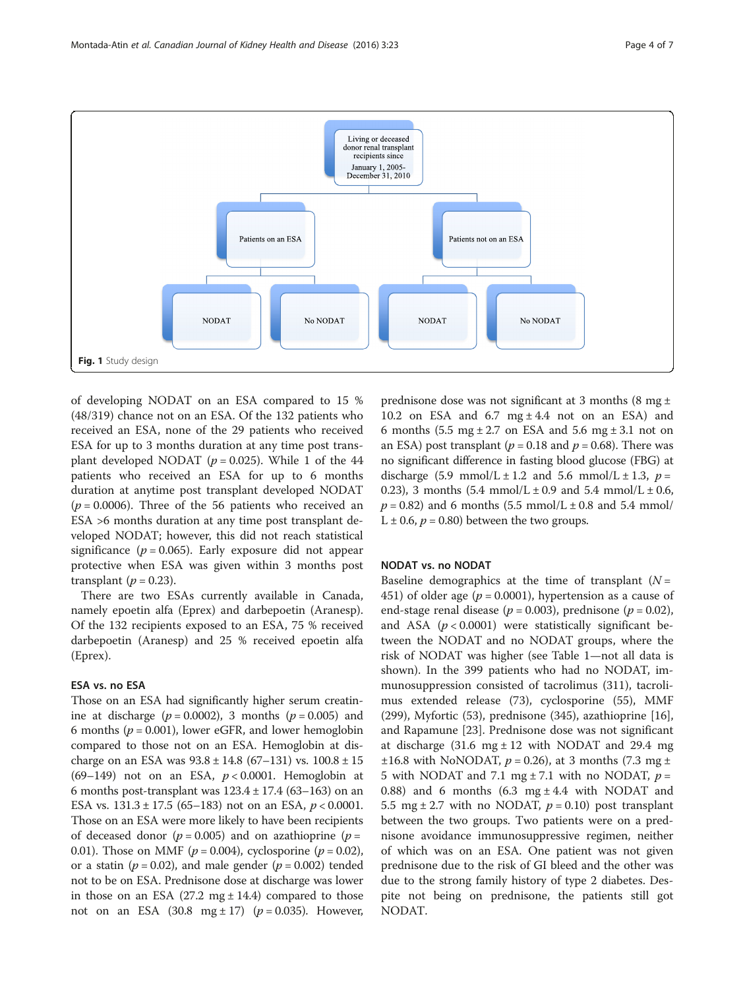<span id="page-3-0"></span>

of developing NODAT on an ESA compared to 15 % (48/319) chance not on an ESA. Of the 132 patients who received an ESA, none of the 29 patients who received ESA for up to 3 months duration at any time post transplant developed NODAT ( $p = 0.025$ ). While 1 of the 44 patients who received an ESA for up to 6 months duration at anytime post transplant developed NODAT  $(p = 0.0006)$ . Three of the 56 patients who received an ESA >6 months duration at any time post transplant developed NODAT; however, this did not reach statistical significance ( $p = 0.065$ ). Early exposure did not appear protective when ESA was given within 3 months post transplant ( $p = 0.23$ ).

There are two ESAs currently available in Canada, namely epoetin alfa (Eprex) and darbepoetin (Aranesp). Of the 132 recipients exposed to an ESA, 75 % received darbepoetin (Aranesp) and 25 % received epoetin alfa (Eprex).

## ESA vs. no ESA

Those on an ESA had significantly higher serum creatinine at discharge  $(p = 0.0002)$ , 3 months  $(p = 0.005)$  and 6 months ( $p = 0.001$ ), lower eGFR, and lower hemoglobin compared to those not on an ESA. Hemoglobin at discharge on an ESA was  $93.8 \pm 14.8$  (67–131) vs.  $100.8 \pm 15$ (69-149) not on an ESA,  $p < 0.0001$ . Hemoglobin at 6 months post-transplant was  $123.4 \pm 17.4$  (63–163) on an ESA vs.  $131.3 \pm 17.5$  (65–183) not on an ESA,  $p < 0.0001$ . Those on an ESA were more likely to have been recipients of deceased donor ( $p = 0.005$ ) and on azathioprine ( $p =$ 0.01). Those on MMF ( $p = 0.004$ ), cyclosporine ( $p = 0.02$ ), or a statin ( $p = 0.02$ ), and male gender ( $p = 0.002$ ) tended not to be on ESA. Prednisone dose at discharge was lower in those on an ESA  $(27.2 \text{ mg} \pm 14.4)$  compared to those not on an ESA (30.8 mg  $\pm$  17) ( $p = 0.035$ ). However,

prednisone dose was not significant at 3 months (8 mg  $\pm$ 10.2 on ESA and  $6.7 \text{ mg} \pm 4.4$  not on an ESA) and 6 months (5.5 mg  $\pm$  2.7 on ESA and 5.6 mg  $\pm$  3.1 not on an ESA) post transplant ( $p = 0.18$  and  $p = 0.68$ ). There was no significant difference in fasting blood glucose (FBG) at discharge (5.9 mmol/L  $\pm$  1.2 and 5.6 mmol/L  $\pm$  1.3,  $p =$ 0.23), 3 months  $(5.4 \text{ mmol/L} \pm 0.9 \text{ and } 5.4 \text{ mmol/L} \pm 0.6,$  $p = 0.82$ ) and 6 months (5.5 mmol/L  $\pm$  0.8 and 5.4 mmol/ L  $\pm$  0.6,  $p = 0.80$ ) between the two groups.

## NODAT vs. no NODAT

Baseline demographics at the time of transplant  $(N =$ 451) of older age ( $p = 0.0001$ ), hypertension as a cause of end-stage renal disease ( $p = 0.003$ ), prednisone ( $p = 0.02$ ), and ASA ( $p < 0.0001$ ) were statistically significant between the NODAT and no NODAT groups, where the risk of NODAT was higher (see Table [1](#page-4-0)—not all data is shown). In the 399 patients who had no NODAT, immunosuppression consisted of tacrolimus (311), tacrolimus extended release (73), cyclosporine (55), MMF (299), Myfortic (53), prednisone (345), azathioprine [\[16](#page-6-0)], and Rapamune [[23\]](#page-6-0). Prednisone dose was not significant at discharge (31.6 mg  $\pm$  12 with NODAT and 29.4 mg  $\pm 16.8$  with NoNODAT,  $p = 0.26$ ), at 3 months (7.3 mg  $\pm$ 5 with NODAT and 7.1 mg  $\pm$  7.1 with no NODAT,  $p =$ 0.88) and 6 months  $(6.3 \text{ mg} \pm 4.4 \text{ with NODAT and})$ 5.5 mg  $\pm$  2.7 with no NODAT,  $p = 0.10$ ) post transplant between the two groups. Two patients were on a prednisone avoidance immunosuppressive regimen, neither of which was on an ESA. One patient was not given prednisone due to the risk of GI bleed and the other was due to the strong family history of type 2 diabetes. Despite not being on prednisone, the patients still got NODAT.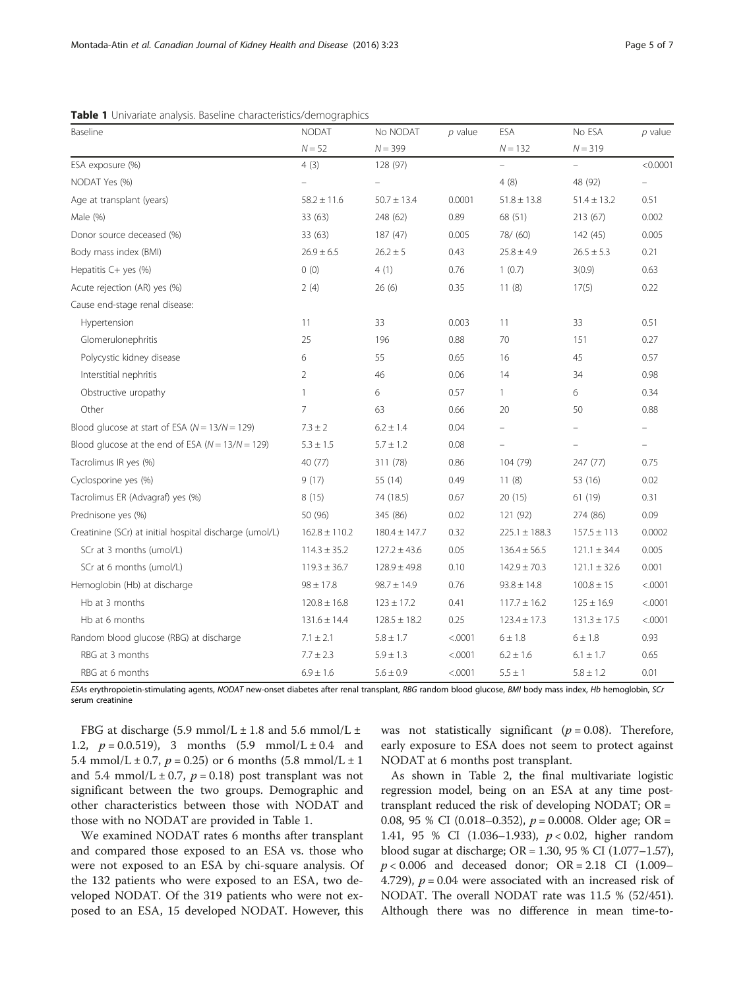<span id="page-4-0"></span>

|  |  |  | Table 1 Univariate analysis. Baseline characteristics/demographics |  |
|--|--|--|--------------------------------------------------------------------|--|
|--|--|--|--------------------------------------------------------------------|--|

| Baseline                                                | <b>NODAT</b>      | No NODAT          | $p$ value | ESA                      | No ESA           | $p$ value                |
|---------------------------------------------------------|-------------------|-------------------|-----------|--------------------------|------------------|--------------------------|
|                                                         | $N = 52$          | $N = 399$         |           | $N = 132$                | $N = 319$        |                          |
| ESA exposure (%)                                        | 4(3)              | 128 (97)          |           | $\overline{a}$           | $\equiv$         | < 0.0001                 |
| NODAT Yes (%)                                           |                   |                   |           | 4(8)                     | 48 (92)          |                          |
| Age at transplant (years)                               | $58.2 \pm 11.6$   | $50.7 \pm 13.4$   | 0.0001    | $51.8 \pm 13.8$          | $51.4 \pm 13.2$  | 0.51                     |
| Male (%)                                                | 33 (63)           | 248 (62)          | 0.89      | 68 (51)                  | 213 (67)         | 0.002                    |
| Donor source deceased (%)                               | 33 (63)           | 187 (47)          | 0.005     | 78/ (60)                 | 142 (45)         | 0.005                    |
| Body mass index (BMI)                                   | $26.9 \pm 6.5$    | $26.2 \pm 5$      | 0.43      | $25.8 \pm 4.9$           | $26.5 \pm 5.3$   | 0.21                     |
| Hepatitis C+ yes (%)                                    | 0(0)              | 4(1)              | 0.76      | 1(0.7)                   | 3(0.9)           | 0.63                     |
| Acute rejection (AR) yes (%)                            | 2(4)              | 26(6)             | 0.35      | 11(8)                    | 17(5)            | 0.22                     |
| Cause end-stage renal disease:                          |                   |                   |           |                          |                  |                          |
| Hypertension                                            | 11                | 33                | 0.003     | 11                       | 33               | 0.51                     |
| Glomerulonephritis                                      | 25                | 196               | 0.88      | 70                       | 151              | 0.27                     |
| Polycystic kidney disease                               | 6                 | 55                | 0.65      | 16                       | 45               | 0.57                     |
| Interstitial nephritis                                  | $\overline{2}$    | 46                | 0.06      | 14                       | 34               | 0.98                     |
| Obstructive uropathy                                    | $\mathbf{1}$      | 6                 | 0.57      | 1                        | 6                | 0.34                     |
| Other                                                   | $\overline{7}$    | 63                | 0.66      | 20                       | 50               | 0.88                     |
| Blood glucose at start of ESA ( $N = 13/N = 129$ )      | $7.3 \pm 2$       | $6.2 \pm 1.4$     | 0.04      | $\overline{\phantom{0}}$ |                  | $\overline{\phantom{a}}$ |
| Blood glucose at the end of ESA ( $N = 13/N = 129$ )    | $5.3 \pm 1.5$     | $5.7 \pm 1.2$     | 0.08      |                          |                  | $\equiv$                 |
| Tacrolimus IR yes (%)                                   | 40 (77)           | 311 (78)          | 0.86      | 104 (79)                 | 247 (77)         | 0.75                     |
| Cyclosporine yes (%)                                    | 9(17)             | 55 (14)           | 0.49      | 11(8)                    | 53 (16)          | 0.02                     |
| Tacrolimus ER (Advagraf) yes (%)                        | 8(15)             | 74 (18.5)         | 0.67      | 20(15)                   | 61 (19)          | 0.31                     |
| Prednisone yes (%)                                      | 50 (96)           | 345 (86)          | 0.02      | 121 (92)                 | 274 (86)         | 0.09                     |
| Creatinine (SCr) at initial hospital discharge (umol/L) | $162.8 \pm 110.2$ | $180.4 \pm 147.7$ | 0.32      | $225.1 \pm 188.3$        | $157.5 \pm 113$  | 0.0002                   |
| SCr at 3 months (umol/L)                                | $114.3 \pm 35.2$  | $127.2 \pm 43.6$  | 0.05      | $136.4 \pm 56.5$         | $121.1 \pm 34.4$ | 0.005                    |
| SCr at 6 months (umol/L)                                | $119.3 \pm 36.7$  | $128.9 \pm 49.8$  | 0.10      | $142.9 \pm 70.3$         | $121.1 \pm 32.6$ | 0.001                    |
| Hemoglobin (Hb) at discharge                            | $98 \pm 17.8$     | $98.7 \pm 14.9$   | 0.76      | $93.8 \pm 14.8$          | $100.8 \pm 15$   | < .0001                  |
| Hb at 3 months                                          | $120.8 \pm 16.8$  | $123 \pm 17.2$    | 0.41      | $117.7 \pm 16.2$         | $125 \pm 16.9$   | < .0001                  |
| Hb at 6 months                                          | $131.6 \pm 14.4$  | $128.5 \pm 18.2$  | 0.25      | $123.4 \pm 17.3$         | $131.3 \pm 17.5$ | < .0001                  |
| Random blood glucose (RBG) at discharge                 | $7.1 \pm 2.1$     | $5.8 \pm 1.7$     | < .0001   | 6 ± 1.8                  | 6 ± 1.8          | 0.93                     |
| RBG at 3 months                                         | $7.7 \pm 2.3$     | $5.9 \pm 1.3$     | < .0001   | $6.2 \pm 1.6$            | $6.1 \pm 1.7$    | 0.65                     |
| RBG at 6 months                                         | $6.9 \pm 1.6$     | $5.6 \pm 0.9$     | < .0001   | $5.5 \pm 1$              | $5.8 \pm 1.2$    | 0.01                     |

ESAs erythropoietin-stimulating agents, NODAT new-onset diabetes after renal transplant, RBG random blood glucose, BMI body mass index, Hb hemoglobin, SCr serum creatinine

FBG at discharge (5.9 mmol/L  $\pm$  1.8 and 5.6 mmol/L  $\pm$ 1.2,  $p = 0.0.519$ , 3 months  $(5.9 \text{ mmol/L} \pm 0.4 \text{ and}$ 5.4 mmol/L  $\pm$  0.7,  $p = 0.25$ ) or 6 months (5.8 mmol/L  $\pm$  1 and 5.4 mmol/L  $\pm$  0.7,  $p = 0.18$ ) post transplant was not significant between the two groups. Demographic and other characteristics between those with NODAT and those with no NODAT are provided in Table 1.

We examined NODAT rates 6 months after transplant and compared those exposed to an ESA vs. those who were not exposed to an ESA by chi-square analysis. Of the 132 patients who were exposed to an ESA, two developed NODAT. Of the 319 patients who were not exposed to an ESA, 15 developed NODAT. However, this was not statistically significant ( $p = 0.08$ ). Therefore, early exposure to ESA does not seem to protect against NODAT at 6 months post transplant.

As shown in Table [2](#page-5-0), the final multivariate logistic regression model, being on an ESA at any time posttransplant reduced the risk of developing NODAT; OR = 0.08, 95 % CI (0.018–0.352),  $p = 0.0008$ . Older age; OR = 1.41, 95 % CI (1.036–1.933), p < 0.02, higher random blood sugar at discharge; OR = 1.30, 95 % CI (1.077–1.57),  $p < 0.006$  and deceased donor; OR = 2.18 CI (1.009– 4.729),  $p = 0.04$  were associated with an increased risk of NODAT. The overall NODAT rate was 11.5 % (52/451). Although there was no difference in mean time-to-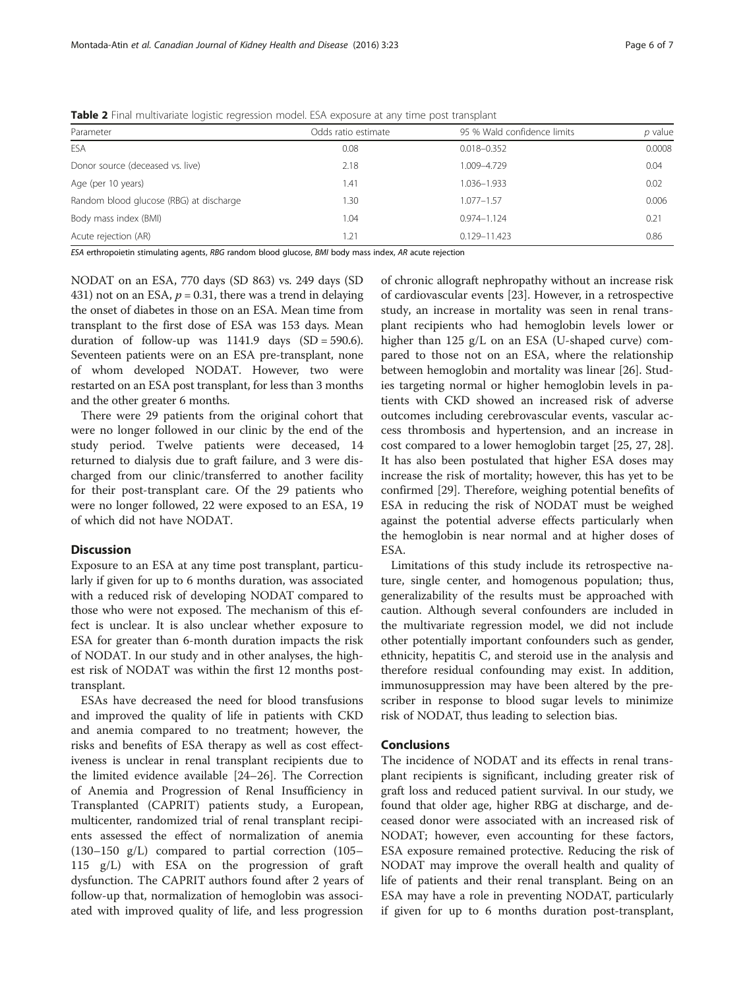<span id="page-5-0"></span>Table 2 Final multivariate logistic regression model. ESA exposure at any time post transplant

| Parameter                               | Odds ratio estimate | 95 % Wald confidence limits | p value |  |
|-----------------------------------------|---------------------|-----------------------------|---------|--|
| ESA                                     | 0.08                | $0.018 - 0.352$             | 0.0008  |  |
| Donor source (deceased vs. live)        | 2.18                | 1.009-4.729                 | 0.04    |  |
| Age (per 10 years)                      | 1.41                | 1.036-1.933                 | 0.02    |  |
| Random blood glucose (RBG) at discharge | .30                 | 1.077-1.57                  | 0.006   |  |
| Body mass index (BMI)                   | 1.04                | $0.974 - 1.124$             | 0.21    |  |
| Acute rejection (AR)                    | 1.21                | 0.129-11.423                | 0.86    |  |

ESA erthropoietin stimulating agents, RBG random blood glucose, BMI body mass index, AR acute rejection

NODAT on an ESA, 770 days (SD 863) vs. 249 days (SD 431) not on an ESA,  $p = 0.31$ , there was a trend in delaying the onset of diabetes in those on an ESA. Mean time from transplant to the first dose of ESA was 153 days. Mean duration of follow-up was  $1141.9$  days  $(SD = 590.6)$ . Seventeen patients were on an ESA pre-transplant, none of whom developed NODAT. However, two were restarted on an ESA post transplant, for less than 3 months and the other greater 6 months.

There were 29 patients from the original cohort that were no longer followed in our clinic by the end of the study period. Twelve patients were deceased, 14 returned to dialysis due to graft failure, and 3 were discharged from our clinic/transferred to another facility for their post-transplant care. Of the 29 patients who were no longer followed, 22 were exposed to an ESA, 19 of which did not have NODAT.

#### **Discussion**

Exposure to an ESA at any time post transplant, particularly if given for up to 6 months duration, was associated with a reduced risk of developing NODAT compared to those who were not exposed. The mechanism of this effect is unclear. It is also unclear whether exposure to ESA for greater than 6-month duration impacts the risk of NODAT. In our study and in other analyses, the highest risk of NODAT was within the first 12 months posttransplant.

ESAs have decreased the need for blood transfusions and improved the quality of life in patients with CKD and anemia compared to no treatment; however, the risks and benefits of ESA therapy as well as cost effectiveness is unclear in renal transplant recipients due to the limited evidence available [[24](#page-6-0)–[26\]](#page-6-0). The Correction of Anemia and Progression of Renal Insufficiency in Transplanted (CAPRIT) patients study, a European, multicenter, randomized trial of renal transplant recipients assessed the effect of normalization of anemia (130–150 g/L) compared to partial correction (105– 115 g/L) with ESA on the progression of graft dysfunction. The CAPRIT authors found after 2 years of follow-up that, normalization of hemoglobin was associated with improved quality of life, and less progression

of chronic allograft nephropathy without an increase risk of cardiovascular events [[23\]](#page-6-0). However, in a retrospective study, an increase in mortality was seen in renal transplant recipients who had hemoglobin levels lower or higher than 125 g/L on an ESA (U-shaped curve) compared to those not on an ESA, where the relationship between hemoglobin and mortality was linear [\[26\]](#page-6-0). Studies targeting normal or higher hemoglobin levels in patients with CKD showed an increased risk of adverse outcomes including cerebrovascular events, vascular access thrombosis and hypertension, and an increase in cost compared to a lower hemoglobin target [\[25](#page-6-0), [27](#page-6-0), [28](#page-6-0)]. It has also been postulated that higher ESA doses may increase the risk of mortality; however, this has yet to be confirmed [[29\]](#page-6-0). Therefore, weighing potential benefits of ESA in reducing the risk of NODAT must be weighed against the potential adverse effects particularly when the hemoglobin is near normal and at higher doses of ESA.

Limitations of this study include its retrospective nature, single center, and homogenous population; thus, generalizability of the results must be approached with caution. Although several confounders are included in the multivariate regression model, we did not include other potentially important confounders such as gender, ethnicity, hepatitis C, and steroid use in the analysis and therefore residual confounding may exist. In addition, immunosuppression may have been altered by the prescriber in response to blood sugar levels to minimize risk of NODAT, thus leading to selection bias.

## **Conclusions**

The incidence of NODAT and its effects in renal transplant recipients is significant, including greater risk of graft loss and reduced patient survival. In our study, we found that older age, higher RBG at discharge, and deceased donor were associated with an increased risk of NODAT; however, even accounting for these factors, ESA exposure remained protective. Reducing the risk of NODAT may improve the overall health and quality of life of patients and their renal transplant. Being on an ESA may have a role in preventing NODAT, particularly if given for up to 6 months duration post-transplant,